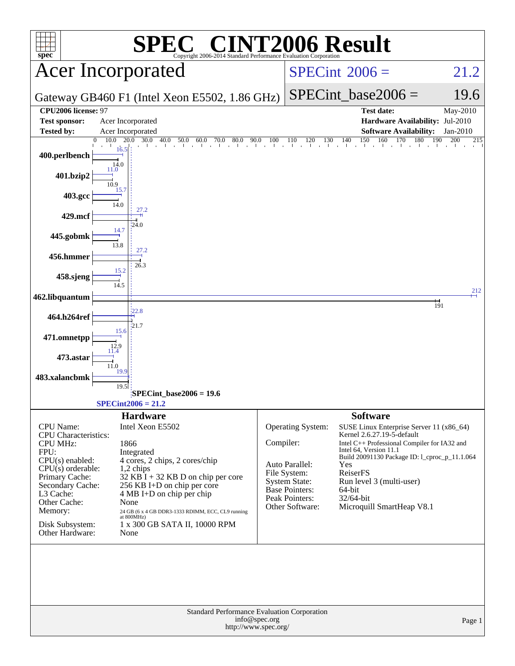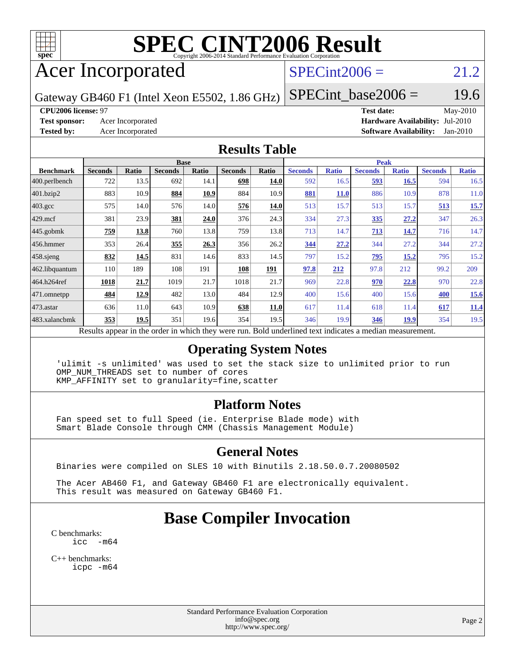

# **[SPEC CINT2006 Result](http://www.spec.org/auto/cpu2006/Docs/result-fields.html#SPECCINT2006Result)**

# Acer Incorporated

## $SPECint2006 = 21.2$  $SPECint2006 = 21.2$

Gateway GB460 F1 (Intel Xeon E5502, 1.86 GHz)

 $SPECTnt\_base2006 = 19.6$ 

**[CPU2006 license:](http://www.spec.org/auto/cpu2006/Docs/result-fields.html#CPU2006license)** 97 **[Test date:](http://www.spec.org/auto/cpu2006/Docs/result-fields.html#Testdate)** May-2010 **[Test sponsor:](http://www.spec.org/auto/cpu2006/Docs/result-fields.html#Testsponsor)** Acer Incorporated **[Hardware Availability:](http://www.spec.org/auto/cpu2006/Docs/result-fields.html#HardwareAvailability)** Jul-2010 **[Tested by:](http://www.spec.org/auto/cpu2006/Docs/result-fields.html#Testedby)** Acer Incorporated **[Software Availability:](http://www.spec.org/auto/cpu2006/Docs/result-fields.html#SoftwareAvailability)** Jan-2010

### **[Results Table](http://www.spec.org/auto/cpu2006/Docs/result-fields.html#ResultsTable)**

|                    |                |              | <b>Base</b>                                                                                             |       |                |       |                |              |                | <b>Peak</b>  |                |              |
|--------------------|----------------|--------------|---------------------------------------------------------------------------------------------------------|-------|----------------|-------|----------------|--------------|----------------|--------------|----------------|--------------|
| <b>Benchmark</b>   | <b>Seconds</b> | <b>Ratio</b> | <b>Seconds</b>                                                                                          | Ratio | <b>Seconds</b> | Ratio | <b>Seconds</b> | <b>Ratio</b> | <b>Seconds</b> | <b>Ratio</b> | <b>Seconds</b> | <b>Ratio</b> |
| $ 400$ .perlbench  | 722            | 13.5         | 692                                                                                                     | 14.1  | 698            | 14.0  | 592            | 16.5         | 593            | 16.5         | 594            | 16.5         |
| 401.bzip2          | 883            | 10.9         | 884                                                                                                     | 10.9  | 884            | 10.9  | 881            | <b>11.0</b>  | 886            | 10.9         | 878            | 11.0         |
| $403.\mathrm{gcc}$ | 575            | 14.0         | 576                                                                                                     | 14.0  | 576            | 14.0  | 513            | 15.7         | 513            | 15.7         | <u>513</u>     | 15.7         |
| $429$ .mcf         | 381            | 23.9         | 381                                                                                                     | 24.0  | 376            | 24.3  | 334            | 27.3         | 335            | 27.2         | 347            | 26.3         |
| $445$ .gobmk       | 759            | 13.8         | 760                                                                                                     | 13.8  | 759            | 13.8  | 713            | 14.7         | 713            | 14.7         | 716            | 14.7         |
| $ 456.$ hmmer      | 353            | 26.4         | 355                                                                                                     | 26.3  | 356            | 26.2  | 344            | 27.2         | 344            | 27.2         | 344            | 27.2         |
| $458$ .sjeng       | 832            | 14.5         | 831                                                                                                     | 14.6  | 833            | 14.5  | 797            | 15.2         | 795            | 15.2         | 795            | 15.2         |
| 462.libquantum     | 110            | 189          | 108                                                                                                     | 191   | 108            | 191   | 97.8           | 212          | 97.8           | 212          | 99.2           | 209          |
| 464.h264ref        | 1018           | 21.7         | 1019                                                                                                    | 21.7  | 1018           | 21.7  | 969            | 22.8         | 970            | 22.8         | 970            | 22.8         |
| $ 471$ .omnetpp    | 484            | 12.9         | 482                                                                                                     | 13.0  | 484            | 12.9  | 400            | 15.6         | 400            | 15.6         | 400            | 15.6         |
| $473$ . astar      | 636            | 11.0         | 643                                                                                                     | 10.9  | 638            | 11.0  | 617            | 11.4         | 618            | 11.4         | 617            | 11.4         |
| 483.xalancbmk      | 353            | 19.5         | 351                                                                                                     | 19.6  | 354            | 19.5  | 346            | 19.9         | 346            | <u>19.9</u>  | 354            | 19.5         |
|                    |                |              | Doculte appear in the order in which they were run. Rold underlined text indicates a modian measurement |       |                |       |                |              |                |              |                |              |

Results appear in the [order in which they were run.](http://www.spec.org/auto/cpu2006/Docs/result-fields.html#RunOrder) Bold underlined text [indicates a median measurement.](http://www.spec.org/auto/cpu2006/Docs/result-fields.html#Median)

### **[Operating System Notes](http://www.spec.org/auto/cpu2006/Docs/result-fields.html#OperatingSystemNotes)**

 'ulimit -s unlimited' was used to set the stack size to unlimited prior to run OMP\_NUM\_THREADS set to number of cores KMP\_AFFINITY set to granularity=fine,scatter

### **[Platform Notes](http://www.spec.org/auto/cpu2006/Docs/result-fields.html#PlatformNotes)**

 Fan speed set to full Speed (ie. Enterprise Blade mode) with Smart Blade Console through CMM (Chassis Management Module)

### **[General Notes](http://www.spec.org/auto/cpu2006/Docs/result-fields.html#GeneralNotes)**

Binaries were compiled on SLES 10 with Binutils 2.18.50.0.7.20080502

 The Acer AB460 F1, and Gateway GB460 F1 are electronically equivalent. This result was measured on Gateway GB460 F1.

## **[Base Compiler Invocation](http://www.spec.org/auto/cpu2006/Docs/result-fields.html#BaseCompilerInvocation)**

[C benchmarks](http://www.spec.org/auto/cpu2006/Docs/result-fields.html#Cbenchmarks): [icc -m64](http://www.spec.org/cpu2006/results/res2010q3/cpu2006-20100608-11639.flags.html#user_CCbase_intel_icc_64bit_f346026e86af2a669e726fe758c88044)

[C++ benchmarks:](http://www.spec.org/auto/cpu2006/Docs/result-fields.html#CXXbenchmarks) [icpc -m64](http://www.spec.org/cpu2006/results/res2010q3/cpu2006-20100608-11639.flags.html#user_CXXbase_intel_icpc_64bit_fc66a5337ce925472a5c54ad6a0de310)

> Standard Performance Evaluation Corporation [info@spec.org](mailto:info@spec.org) <http://www.spec.org/>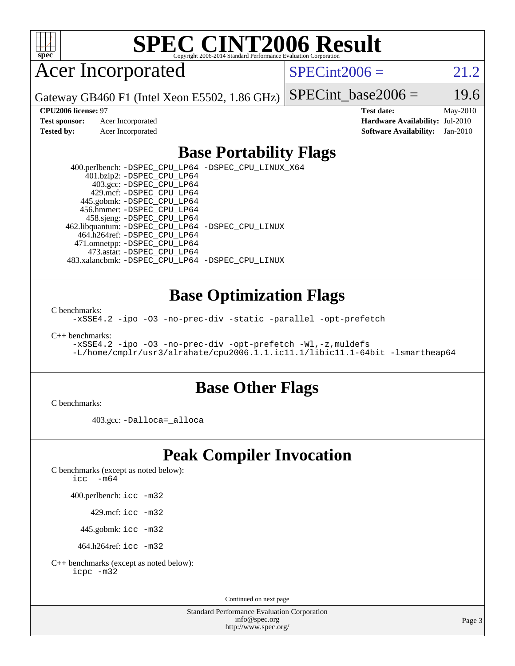

# **[SPEC CINT2006 Result](http://www.spec.org/auto/cpu2006/Docs/result-fields.html#SPECCINT2006Result)**

# Acer Incorporated

 $SPECint2006 = 21.2$  $SPECint2006 = 21.2$ 

Gateway GB460 F1 (Intel Xeon E5502, 1.86 GHz) SPECint base2006 =  $19.6$ 

**[CPU2006 license:](http://www.spec.org/auto/cpu2006/Docs/result-fields.html#CPU2006license)** 97 **[Test date:](http://www.spec.org/auto/cpu2006/Docs/result-fields.html#Testdate)** May-2010 **[Test sponsor:](http://www.spec.org/auto/cpu2006/Docs/result-fields.html#Testsponsor)** Acer Incorporated **[Hardware Availability:](http://www.spec.org/auto/cpu2006/Docs/result-fields.html#HardwareAvailability)** Jul-2010 **[Tested by:](http://www.spec.org/auto/cpu2006/Docs/result-fields.html#Testedby)** Acer Incorporated **[Software Availability:](http://www.spec.org/auto/cpu2006/Docs/result-fields.html#SoftwareAvailability)** Jan-2010

### **[Base Portability Flags](http://www.spec.org/auto/cpu2006/Docs/result-fields.html#BasePortabilityFlags)**

 400.perlbench: [-DSPEC\\_CPU\\_LP64](http://www.spec.org/cpu2006/results/res2010q3/cpu2006-20100608-11639.flags.html#b400.perlbench_basePORTABILITY_DSPEC_CPU_LP64) [-DSPEC\\_CPU\\_LINUX\\_X64](http://www.spec.org/cpu2006/results/res2010q3/cpu2006-20100608-11639.flags.html#b400.perlbench_baseCPORTABILITY_DSPEC_CPU_LINUX_X64) 401.bzip2: [-DSPEC\\_CPU\\_LP64](http://www.spec.org/cpu2006/results/res2010q3/cpu2006-20100608-11639.flags.html#suite_basePORTABILITY401_bzip2_DSPEC_CPU_LP64) 403.gcc: [-DSPEC\\_CPU\\_LP64](http://www.spec.org/cpu2006/results/res2010q3/cpu2006-20100608-11639.flags.html#suite_basePORTABILITY403_gcc_DSPEC_CPU_LP64) 429.mcf: [-DSPEC\\_CPU\\_LP64](http://www.spec.org/cpu2006/results/res2010q3/cpu2006-20100608-11639.flags.html#suite_basePORTABILITY429_mcf_DSPEC_CPU_LP64) 445.gobmk: [-DSPEC\\_CPU\\_LP64](http://www.spec.org/cpu2006/results/res2010q3/cpu2006-20100608-11639.flags.html#suite_basePORTABILITY445_gobmk_DSPEC_CPU_LP64) 456.hmmer: [-DSPEC\\_CPU\\_LP64](http://www.spec.org/cpu2006/results/res2010q3/cpu2006-20100608-11639.flags.html#suite_basePORTABILITY456_hmmer_DSPEC_CPU_LP64) 458.sjeng: [-DSPEC\\_CPU\\_LP64](http://www.spec.org/cpu2006/results/res2010q3/cpu2006-20100608-11639.flags.html#suite_basePORTABILITY458_sjeng_DSPEC_CPU_LP64) 462.libquantum: [-DSPEC\\_CPU\\_LP64](http://www.spec.org/cpu2006/results/res2010q3/cpu2006-20100608-11639.flags.html#suite_basePORTABILITY462_libquantum_DSPEC_CPU_LP64) [-DSPEC\\_CPU\\_LINUX](http://www.spec.org/cpu2006/results/res2010q3/cpu2006-20100608-11639.flags.html#b462.libquantum_baseCPORTABILITY_DSPEC_CPU_LINUX) 464.h264ref: [-DSPEC\\_CPU\\_LP64](http://www.spec.org/cpu2006/results/res2010q3/cpu2006-20100608-11639.flags.html#suite_basePORTABILITY464_h264ref_DSPEC_CPU_LP64) 471.omnetpp: [-DSPEC\\_CPU\\_LP64](http://www.spec.org/cpu2006/results/res2010q3/cpu2006-20100608-11639.flags.html#suite_basePORTABILITY471_omnetpp_DSPEC_CPU_LP64) 473.astar: [-DSPEC\\_CPU\\_LP64](http://www.spec.org/cpu2006/results/res2010q3/cpu2006-20100608-11639.flags.html#suite_basePORTABILITY473_astar_DSPEC_CPU_LP64) 483.xalancbmk: [-DSPEC\\_CPU\\_LP64](http://www.spec.org/cpu2006/results/res2010q3/cpu2006-20100608-11639.flags.html#suite_basePORTABILITY483_xalancbmk_DSPEC_CPU_LP64) [-DSPEC\\_CPU\\_LINUX](http://www.spec.org/cpu2006/results/res2010q3/cpu2006-20100608-11639.flags.html#b483.xalancbmk_baseCXXPORTABILITY_DSPEC_CPU_LINUX)

### **[Base Optimization Flags](http://www.spec.org/auto/cpu2006/Docs/result-fields.html#BaseOptimizationFlags)**

[C benchmarks](http://www.spec.org/auto/cpu2006/Docs/result-fields.html#Cbenchmarks):

[-xSSE4.2](http://www.spec.org/cpu2006/results/res2010q3/cpu2006-20100608-11639.flags.html#user_CCbase_f-xSSE42_f91528193cf0b216347adb8b939d4107) [-ipo](http://www.spec.org/cpu2006/results/res2010q3/cpu2006-20100608-11639.flags.html#user_CCbase_f-ipo) [-O3](http://www.spec.org/cpu2006/results/res2010q3/cpu2006-20100608-11639.flags.html#user_CCbase_f-O3) [-no-prec-div](http://www.spec.org/cpu2006/results/res2010q3/cpu2006-20100608-11639.flags.html#user_CCbase_f-no-prec-div) [-static](http://www.spec.org/cpu2006/results/res2010q3/cpu2006-20100608-11639.flags.html#user_CCbase_f-static) [-parallel](http://www.spec.org/cpu2006/results/res2010q3/cpu2006-20100608-11639.flags.html#user_CCbase_f-parallel) [-opt-prefetch](http://www.spec.org/cpu2006/results/res2010q3/cpu2006-20100608-11639.flags.html#user_CCbase_f-opt-prefetch)

[C++ benchmarks:](http://www.spec.org/auto/cpu2006/Docs/result-fields.html#CXXbenchmarks)

```
-xSSE4.2 -ipo -O3 -no-prec-div -opt-prefetch -Wl,-z,muldefs
-L/home/cmplr/usr3/alrahate/cpu2006.1.1.ic11.1/libic11.1-64bit -lsmartheap64
```
### **[Base Other Flags](http://www.spec.org/auto/cpu2006/Docs/result-fields.html#BaseOtherFlags)**

[C benchmarks](http://www.spec.org/auto/cpu2006/Docs/result-fields.html#Cbenchmarks):

403.gcc: [-Dalloca=\\_alloca](http://www.spec.org/cpu2006/results/res2010q3/cpu2006-20100608-11639.flags.html#b403.gcc_baseEXTRA_CFLAGS_Dalloca_be3056838c12de2578596ca5467af7f3)

## **[Peak Compiler Invocation](http://www.spec.org/auto/cpu2006/Docs/result-fields.html#PeakCompilerInvocation)**

[C benchmarks \(except as noted below\)](http://www.spec.org/auto/cpu2006/Docs/result-fields.html#Cbenchmarksexceptasnotedbelow):

icc  $-m64$ 

400.perlbench: [icc -m32](http://www.spec.org/cpu2006/results/res2010q3/cpu2006-20100608-11639.flags.html#user_peakCCLD400_perlbench_intel_icc_32bit_a6a621f8d50482236b970c6ac5f55f93)

429.mcf: [icc -m32](http://www.spec.org/cpu2006/results/res2010q3/cpu2006-20100608-11639.flags.html#user_peakCCLD429_mcf_intel_icc_32bit_a6a621f8d50482236b970c6ac5f55f93)

445.gobmk: [icc -m32](http://www.spec.org/cpu2006/results/res2010q3/cpu2006-20100608-11639.flags.html#user_peakCCLD445_gobmk_intel_icc_32bit_a6a621f8d50482236b970c6ac5f55f93)

464.h264ref: [icc -m32](http://www.spec.org/cpu2006/results/res2010q3/cpu2006-20100608-11639.flags.html#user_peakCCLD464_h264ref_intel_icc_32bit_a6a621f8d50482236b970c6ac5f55f93)

[C++ benchmarks \(except as noted below\):](http://www.spec.org/auto/cpu2006/Docs/result-fields.html#CXXbenchmarksexceptasnotedbelow) [icpc -m32](http://www.spec.org/cpu2006/results/res2010q3/cpu2006-20100608-11639.flags.html#user_CXXpeak_intel_icpc_32bit_4e5a5ef1a53fd332b3c49e69c3330699)

Continued on next page

Standard Performance Evaluation Corporation [info@spec.org](mailto:info@spec.org) <http://www.spec.org/>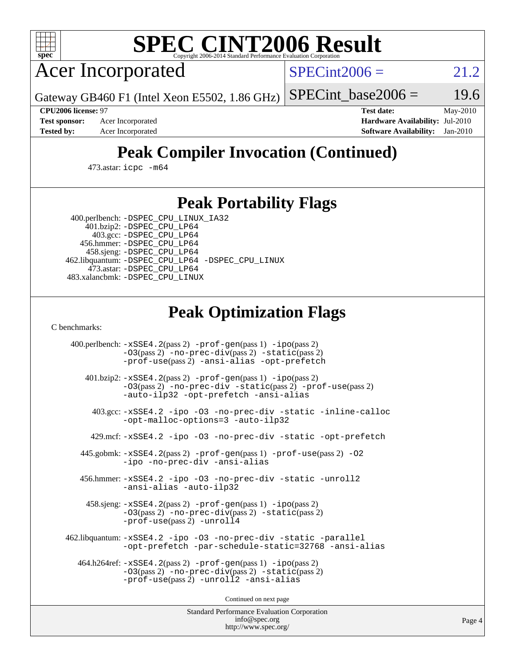

# **[SPEC CINT2006 Result](http://www.spec.org/auto/cpu2006/Docs/result-fields.html#SPECCINT2006Result)**

Acer Incorporated

 $SPECint2006 = 21.2$  $SPECint2006 = 21.2$ 

Gateway GB460 F1 (Intel Xeon E5502, 1.86 GHz)

SPECint base2006 =  $19.6$ 

**[Test sponsor:](http://www.spec.org/auto/cpu2006/Docs/result-fields.html#Testsponsor)** Acer Incorporated **[Hardware Availability:](http://www.spec.org/auto/cpu2006/Docs/result-fields.html#HardwareAvailability)** Jul-2010

**[CPU2006 license:](http://www.spec.org/auto/cpu2006/Docs/result-fields.html#CPU2006license)** 97 **[Test date:](http://www.spec.org/auto/cpu2006/Docs/result-fields.html#Testdate)** May-2010 **[Tested by:](http://www.spec.org/auto/cpu2006/Docs/result-fields.html#Testedby)** Acer Incorporated **[Software Availability:](http://www.spec.org/auto/cpu2006/Docs/result-fields.html#SoftwareAvailability)** Jan-2010

# **[Peak Compiler Invocation \(Continued\)](http://www.spec.org/auto/cpu2006/Docs/result-fields.html#PeakCompilerInvocation)**

473.astar: [icpc -m64](http://www.spec.org/cpu2006/results/res2010q3/cpu2006-20100608-11639.flags.html#user_peakCXXLD473_astar_intel_icpc_64bit_fc66a5337ce925472a5c54ad6a0de310)

## **[Peak Portability Flags](http://www.spec.org/auto/cpu2006/Docs/result-fields.html#PeakPortabilityFlags)**

 400.perlbench: [-DSPEC\\_CPU\\_LINUX\\_IA32](http://www.spec.org/cpu2006/results/res2010q3/cpu2006-20100608-11639.flags.html#b400.perlbench_peakCPORTABILITY_DSPEC_CPU_LINUX_IA32) 401.bzip2: [-DSPEC\\_CPU\\_LP64](http://www.spec.org/cpu2006/results/res2010q3/cpu2006-20100608-11639.flags.html#suite_peakPORTABILITY401_bzip2_DSPEC_CPU_LP64)

 403.gcc: [-DSPEC\\_CPU\\_LP64](http://www.spec.org/cpu2006/results/res2010q3/cpu2006-20100608-11639.flags.html#suite_peakPORTABILITY403_gcc_DSPEC_CPU_LP64) 456.hmmer: [-DSPEC\\_CPU\\_LP64](http://www.spec.org/cpu2006/results/res2010q3/cpu2006-20100608-11639.flags.html#suite_peakPORTABILITY456_hmmer_DSPEC_CPU_LP64) 458.sjeng: [-DSPEC\\_CPU\\_LP64](http://www.spec.org/cpu2006/results/res2010q3/cpu2006-20100608-11639.flags.html#suite_peakPORTABILITY458_sjeng_DSPEC_CPU_LP64) 462.libquantum: [-DSPEC\\_CPU\\_LP64](http://www.spec.org/cpu2006/results/res2010q3/cpu2006-20100608-11639.flags.html#suite_peakPORTABILITY462_libquantum_DSPEC_CPU_LP64) [-DSPEC\\_CPU\\_LINUX](http://www.spec.org/cpu2006/results/res2010q3/cpu2006-20100608-11639.flags.html#b462.libquantum_peakCPORTABILITY_DSPEC_CPU_LINUX) 473.astar: [-DSPEC\\_CPU\\_LP64](http://www.spec.org/cpu2006/results/res2010q3/cpu2006-20100608-11639.flags.html#suite_peakPORTABILITY473_astar_DSPEC_CPU_LP64) 483.xalancbmk: [-DSPEC\\_CPU\\_LINUX](http://www.spec.org/cpu2006/results/res2010q3/cpu2006-20100608-11639.flags.html#b483.xalancbmk_peakCXXPORTABILITY_DSPEC_CPU_LINUX)

# **[Peak Optimization Flags](http://www.spec.org/auto/cpu2006/Docs/result-fields.html#PeakOptimizationFlags)**

[C benchmarks](http://www.spec.org/auto/cpu2006/Docs/result-fields.html#Cbenchmarks):

 400.perlbench: [-xSSE4.2](http://www.spec.org/cpu2006/results/res2010q3/cpu2006-20100608-11639.flags.html#user_peakPASS2_CFLAGSPASS2_LDCFLAGS400_perlbench_f-xSSE42_f91528193cf0b216347adb8b939d4107)(pass 2) [-prof-gen](http://www.spec.org/cpu2006/results/res2010q3/cpu2006-20100608-11639.flags.html#user_peakPASS1_CFLAGSPASS1_LDCFLAGS400_perlbench_prof_gen_e43856698f6ca7b7e442dfd80e94a8fc)(pass 1) [-ipo](http://www.spec.org/cpu2006/results/res2010q3/cpu2006-20100608-11639.flags.html#user_peakPASS2_CFLAGSPASS2_LDCFLAGS400_perlbench_f-ipo)(pass 2) [-O3](http://www.spec.org/cpu2006/results/res2010q3/cpu2006-20100608-11639.flags.html#user_peakPASS2_CFLAGSPASS2_LDCFLAGS400_perlbench_f-O3)(pass 2) [-no-prec-div](http://www.spec.org/cpu2006/results/res2010q3/cpu2006-20100608-11639.flags.html#user_peakPASS2_CFLAGSPASS2_LDCFLAGS400_perlbench_f-no-prec-div)(pass 2) [-static](http://www.spec.org/cpu2006/results/res2010q3/cpu2006-20100608-11639.flags.html#user_peakPASS2_CFLAGSPASS2_LDCFLAGS400_perlbench_f-static)(pass 2) [-prof-use](http://www.spec.org/cpu2006/results/res2010q3/cpu2006-20100608-11639.flags.html#user_peakPASS2_CFLAGSPASS2_LDCFLAGS400_perlbench_prof_use_bccf7792157ff70d64e32fe3e1250b55)(pass 2) [-ansi-alias](http://www.spec.org/cpu2006/results/res2010q3/cpu2006-20100608-11639.flags.html#user_peakCOPTIMIZE400_perlbench_f-ansi-alias) [-opt-prefetch](http://www.spec.org/cpu2006/results/res2010q3/cpu2006-20100608-11639.flags.html#user_peakCOPTIMIZE400_perlbench_f-opt-prefetch) 401.bzip2: [-xSSE4.2](http://www.spec.org/cpu2006/results/res2010q3/cpu2006-20100608-11639.flags.html#user_peakPASS2_CFLAGSPASS2_LDCFLAGS401_bzip2_f-xSSE42_f91528193cf0b216347adb8b939d4107)(pass 2) [-prof-gen](http://www.spec.org/cpu2006/results/res2010q3/cpu2006-20100608-11639.flags.html#user_peakPASS1_CFLAGSPASS1_LDCFLAGS401_bzip2_prof_gen_e43856698f6ca7b7e442dfd80e94a8fc)(pass 1) [-ipo](http://www.spec.org/cpu2006/results/res2010q3/cpu2006-20100608-11639.flags.html#user_peakPASS2_CFLAGSPASS2_LDCFLAGS401_bzip2_f-ipo)(pass 2) [-O3](http://www.spec.org/cpu2006/results/res2010q3/cpu2006-20100608-11639.flags.html#user_peakPASS2_CFLAGSPASS2_LDCFLAGS401_bzip2_f-O3)(pass 2) [-no-prec-div](http://www.spec.org/cpu2006/results/res2010q3/cpu2006-20100608-11639.flags.html#user_peakCOPTIMIZEPASS2_CFLAGSPASS2_LDCFLAGS401_bzip2_f-no-prec-div) [-static](http://www.spec.org/cpu2006/results/res2010q3/cpu2006-20100608-11639.flags.html#user_peakPASS2_CFLAGSPASS2_LDCFLAGS401_bzip2_f-static)(pass 2) [-prof-use](http://www.spec.org/cpu2006/results/res2010q3/cpu2006-20100608-11639.flags.html#user_peakPASS2_CFLAGSPASS2_LDCFLAGS401_bzip2_prof_use_bccf7792157ff70d64e32fe3e1250b55)(pass 2) [-auto-ilp32](http://www.spec.org/cpu2006/results/res2010q3/cpu2006-20100608-11639.flags.html#user_peakCOPTIMIZE401_bzip2_f-auto-ilp32) [-opt-prefetch](http://www.spec.org/cpu2006/results/res2010q3/cpu2006-20100608-11639.flags.html#user_peakCOPTIMIZE401_bzip2_f-opt-prefetch) [-ansi-alias](http://www.spec.org/cpu2006/results/res2010q3/cpu2006-20100608-11639.flags.html#user_peakCOPTIMIZE401_bzip2_f-ansi-alias) 403.gcc: [-xSSE4.2](http://www.spec.org/cpu2006/results/res2010q3/cpu2006-20100608-11639.flags.html#user_peakCOPTIMIZE403_gcc_f-xSSE42_f91528193cf0b216347adb8b939d4107) [-ipo](http://www.spec.org/cpu2006/results/res2010q3/cpu2006-20100608-11639.flags.html#user_peakCOPTIMIZE403_gcc_f-ipo) [-O3](http://www.spec.org/cpu2006/results/res2010q3/cpu2006-20100608-11639.flags.html#user_peakCOPTIMIZE403_gcc_f-O3) [-no-prec-div](http://www.spec.org/cpu2006/results/res2010q3/cpu2006-20100608-11639.flags.html#user_peakCOPTIMIZE403_gcc_f-no-prec-div) [-static](http://www.spec.org/cpu2006/results/res2010q3/cpu2006-20100608-11639.flags.html#user_peakCOPTIMIZE403_gcc_f-static) [-inline-calloc](http://www.spec.org/cpu2006/results/res2010q3/cpu2006-20100608-11639.flags.html#user_peakCOPTIMIZE403_gcc_f-inline-calloc) [-opt-malloc-options=3](http://www.spec.org/cpu2006/results/res2010q3/cpu2006-20100608-11639.flags.html#user_peakCOPTIMIZE403_gcc_f-opt-malloc-options_13ab9b803cf986b4ee62f0a5998c2238) [-auto-ilp32](http://www.spec.org/cpu2006/results/res2010q3/cpu2006-20100608-11639.flags.html#user_peakCOPTIMIZE403_gcc_f-auto-ilp32) 429.mcf: [-xSSE4.2](http://www.spec.org/cpu2006/results/res2010q3/cpu2006-20100608-11639.flags.html#user_peakCOPTIMIZE429_mcf_f-xSSE42_f91528193cf0b216347adb8b939d4107) [-ipo](http://www.spec.org/cpu2006/results/res2010q3/cpu2006-20100608-11639.flags.html#user_peakCOPTIMIZE429_mcf_f-ipo) [-O3](http://www.spec.org/cpu2006/results/res2010q3/cpu2006-20100608-11639.flags.html#user_peakCOPTIMIZE429_mcf_f-O3) [-no-prec-div](http://www.spec.org/cpu2006/results/res2010q3/cpu2006-20100608-11639.flags.html#user_peakCOPTIMIZE429_mcf_f-no-prec-div) [-static](http://www.spec.org/cpu2006/results/res2010q3/cpu2006-20100608-11639.flags.html#user_peakCOPTIMIZE429_mcf_f-static) [-opt-prefetch](http://www.spec.org/cpu2006/results/res2010q3/cpu2006-20100608-11639.flags.html#user_peakCOPTIMIZE429_mcf_f-opt-prefetch) 445.gobmk: [-xSSE4.2](http://www.spec.org/cpu2006/results/res2010q3/cpu2006-20100608-11639.flags.html#user_peakPASS2_CFLAGSPASS2_LDCFLAGS445_gobmk_f-xSSE42_f91528193cf0b216347adb8b939d4107)(pass 2) [-prof-gen](http://www.spec.org/cpu2006/results/res2010q3/cpu2006-20100608-11639.flags.html#user_peakPASS1_CFLAGSPASS1_LDCFLAGS445_gobmk_prof_gen_e43856698f6ca7b7e442dfd80e94a8fc)(pass 1) [-prof-use](http://www.spec.org/cpu2006/results/res2010q3/cpu2006-20100608-11639.flags.html#user_peakPASS2_CFLAGSPASS2_LDCFLAGS445_gobmk_prof_use_bccf7792157ff70d64e32fe3e1250b55)(pass 2) [-O2](http://www.spec.org/cpu2006/results/res2010q3/cpu2006-20100608-11639.flags.html#user_peakCOPTIMIZE445_gobmk_f-O2) [-ipo](http://www.spec.org/cpu2006/results/res2010q3/cpu2006-20100608-11639.flags.html#user_peakCOPTIMIZE445_gobmk_f-ipo) [-no-prec-div](http://www.spec.org/cpu2006/results/res2010q3/cpu2006-20100608-11639.flags.html#user_peakCOPTIMIZE445_gobmk_f-no-prec-div) [-ansi-alias](http://www.spec.org/cpu2006/results/res2010q3/cpu2006-20100608-11639.flags.html#user_peakCOPTIMIZE445_gobmk_f-ansi-alias) 456.hmmer: [-xSSE4.2](http://www.spec.org/cpu2006/results/res2010q3/cpu2006-20100608-11639.flags.html#user_peakCOPTIMIZE456_hmmer_f-xSSE42_f91528193cf0b216347adb8b939d4107) [-ipo](http://www.spec.org/cpu2006/results/res2010q3/cpu2006-20100608-11639.flags.html#user_peakCOPTIMIZE456_hmmer_f-ipo) [-O3](http://www.spec.org/cpu2006/results/res2010q3/cpu2006-20100608-11639.flags.html#user_peakCOPTIMIZE456_hmmer_f-O3) [-no-prec-div](http://www.spec.org/cpu2006/results/res2010q3/cpu2006-20100608-11639.flags.html#user_peakCOPTIMIZE456_hmmer_f-no-prec-div) [-static](http://www.spec.org/cpu2006/results/res2010q3/cpu2006-20100608-11639.flags.html#user_peakCOPTIMIZE456_hmmer_f-static) [-unroll2](http://www.spec.org/cpu2006/results/res2010q3/cpu2006-20100608-11639.flags.html#user_peakCOPTIMIZE456_hmmer_f-unroll_784dae83bebfb236979b41d2422d7ec2) [-ansi-alias](http://www.spec.org/cpu2006/results/res2010q3/cpu2006-20100608-11639.flags.html#user_peakCOPTIMIZE456_hmmer_f-ansi-alias) [-auto-ilp32](http://www.spec.org/cpu2006/results/res2010q3/cpu2006-20100608-11639.flags.html#user_peakCOPTIMIZE456_hmmer_f-auto-ilp32) 458.sjeng: [-xSSE4.2](http://www.spec.org/cpu2006/results/res2010q3/cpu2006-20100608-11639.flags.html#user_peakPASS2_CFLAGSPASS2_LDCFLAGS458_sjeng_f-xSSE42_f91528193cf0b216347adb8b939d4107)(pass 2) [-prof-gen](http://www.spec.org/cpu2006/results/res2010q3/cpu2006-20100608-11639.flags.html#user_peakPASS1_CFLAGSPASS1_LDCFLAGS458_sjeng_prof_gen_e43856698f6ca7b7e442dfd80e94a8fc)(pass 1) [-ipo](http://www.spec.org/cpu2006/results/res2010q3/cpu2006-20100608-11639.flags.html#user_peakPASS2_CFLAGSPASS2_LDCFLAGS458_sjeng_f-ipo)(pass 2) [-O3](http://www.spec.org/cpu2006/results/res2010q3/cpu2006-20100608-11639.flags.html#user_peakPASS2_CFLAGSPASS2_LDCFLAGS458_sjeng_f-O3)(pass 2) [-no-prec-div](http://www.spec.org/cpu2006/results/res2010q3/cpu2006-20100608-11639.flags.html#user_peakPASS2_CFLAGSPASS2_LDCFLAGS458_sjeng_f-no-prec-div)(pass 2) [-static](http://www.spec.org/cpu2006/results/res2010q3/cpu2006-20100608-11639.flags.html#user_peakPASS2_CFLAGSPASS2_LDCFLAGS458_sjeng_f-static)(pass 2) [-prof-use](http://www.spec.org/cpu2006/results/res2010q3/cpu2006-20100608-11639.flags.html#user_peakPASS2_CFLAGSPASS2_LDCFLAGS458_sjeng_prof_use_bccf7792157ff70d64e32fe3e1250b55)(pass 2) [-unroll4](http://www.spec.org/cpu2006/results/res2010q3/cpu2006-20100608-11639.flags.html#user_peakCOPTIMIZE458_sjeng_f-unroll_4e5e4ed65b7fd20bdcd365bec371b81f) 462.libquantum: [-xSSE4.2](http://www.spec.org/cpu2006/results/res2010q3/cpu2006-20100608-11639.flags.html#user_peakCOPTIMIZE462_libquantum_f-xSSE42_f91528193cf0b216347adb8b939d4107) [-ipo](http://www.spec.org/cpu2006/results/res2010q3/cpu2006-20100608-11639.flags.html#user_peakCOPTIMIZE462_libquantum_f-ipo) [-O3](http://www.spec.org/cpu2006/results/res2010q3/cpu2006-20100608-11639.flags.html#user_peakCOPTIMIZE462_libquantum_f-O3) [-no-prec-div](http://www.spec.org/cpu2006/results/res2010q3/cpu2006-20100608-11639.flags.html#user_peakCOPTIMIZE462_libquantum_f-no-prec-div) [-static](http://www.spec.org/cpu2006/results/res2010q3/cpu2006-20100608-11639.flags.html#user_peakCOPTIMIZE462_libquantum_f-static) [-parallel](http://www.spec.org/cpu2006/results/res2010q3/cpu2006-20100608-11639.flags.html#user_peakCOPTIMIZE462_libquantum_f-parallel) [-opt-prefetch](http://www.spec.org/cpu2006/results/res2010q3/cpu2006-20100608-11639.flags.html#user_peakCOPTIMIZE462_libquantum_f-opt-prefetch) [-par-schedule-static=32768](http://www.spec.org/cpu2006/results/res2010q3/cpu2006-20100608-11639.flags.html#user_peakCOPTIMIZE462_libquantum_f-par-schedule_9386bcd99ba64e99ee01d1aafefddd14) [-ansi-alias](http://www.spec.org/cpu2006/results/res2010q3/cpu2006-20100608-11639.flags.html#user_peakCOPTIMIZE462_libquantum_f-ansi-alias) 464.h264ref: [-xSSE4.2](http://www.spec.org/cpu2006/results/res2010q3/cpu2006-20100608-11639.flags.html#user_peakPASS2_CFLAGSPASS2_LDCFLAGS464_h264ref_f-xSSE42_f91528193cf0b216347adb8b939d4107)(pass 2) [-prof-gen](http://www.spec.org/cpu2006/results/res2010q3/cpu2006-20100608-11639.flags.html#user_peakPASS1_CFLAGSPASS1_LDCFLAGS464_h264ref_prof_gen_e43856698f6ca7b7e442dfd80e94a8fc)(pass 1) [-ipo](http://www.spec.org/cpu2006/results/res2010q3/cpu2006-20100608-11639.flags.html#user_peakPASS2_CFLAGSPASS2_LDCFLAGS464_h264ref_f-ipo)(pass 2) [-O3](http://www.spec.org/cpu2006/results/res2010q3/cpu2006-20100608-11639.flags.html#user_peakPASS2_CFLAGSPASS2_LDCFLAGS464_h264ref_f-O3)(pass 2) [-no-prec-div](http://www.spec.org/cpu2006/results/res2010q3/cpu2006-20100608-11639.flags.html#user_peakPASS2_CFLAGSPASS2_LDCFLAGS464_h264ref_f-no-prec-div)(pass 2) [-static](http://www.spec.org/cpu2006/results/res2010q3/cpu2006-20100608-11639.flags.html#user_peakPASS2_CFLAGSPASS2_LDCFLAGS464_h264ref_f-static)(pass 2) [-prof-use](http://www.spec.org/cpu2006/results/res2010q3/cpu2006-20100608-11639.flags.html#user_peakPASS2_CFLAGSPASS2_LDCFLAGS464_h264ref_prof_use_bccf7792157ff70d64e32fe3e1250b55)(pass 2) [-unroll2](http://www.spec.org/cpu2006/results/res2010q3/cpu2006-20100608-11639.flags.html#user_peakCOPTIMIZE464_h264ref_f-unroll_784dae83bebfb236979b41d2422d7ec2) [-ansi-alias](http://www.spec.org/cpu2006/results/res2010q3/cpu2006-20100608-11639.flags.html#user_peakCOPTIMIZE464_h264ref_f-ansi-alias)

Continued on next page

Standard Performance Evaluation Corporation [info@spec.org](mailto:info@spec.org) <http://www.spec.org/>